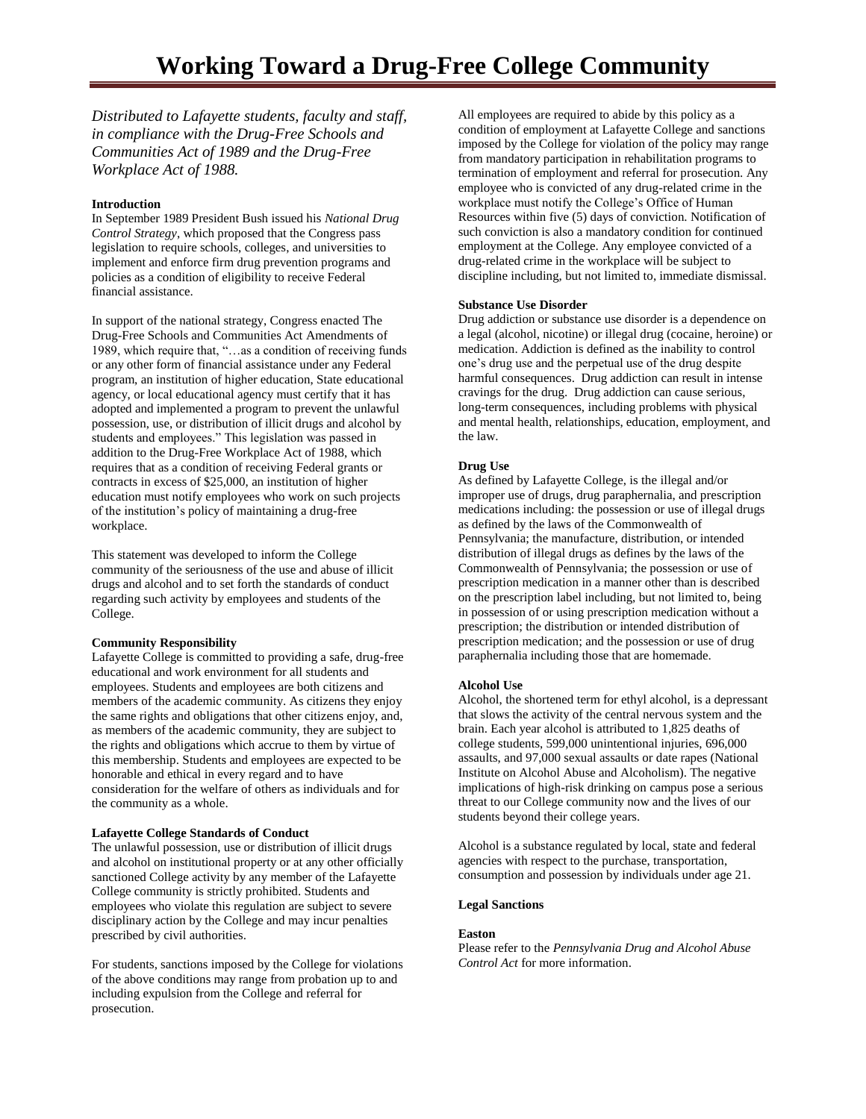*Distributed to Lafayette students, faculty and staff, in compliance with the Drug-Free Schools and Communities Act of 1989 and the Drug-Free Workplace Act of 1988.* 

# **Introduction**

In September 1989 President Bush issued his *National Drug Control Strategy*, which proposed that the Congress pass legislation to require schools, colleges, and universities to implement and enforce firm drug prevention programs and policies as a condition of eligibility to receive Federal financial assistance.

In support of the national strategy, Congress enacted The Drug-Free Schools and Communities Act Amendments of 1989, which require that, "…as a condition of receiving funds or any other form of financial assistance under any Federal program, an institution of higher education, State educational agency, or local educational agency must certify that it has adopted and implemented a program to prevent the unlawful possession, use, or distribution of illicit drugs and alcohol by students and employees." This legislation was passed in addition to the Drug-Free Workplace Act of 1988, which requires that as a condition of receiving Federal grants or contracts in excess of \$25,000, an institution of higher education must notify employees who work on such projects of the institution's policy of maintaining a drug-free workplace.

This statement was developed to inform the College community of the seriousness of the use and abuse of illicit drugs and alcohol and to set forth the standards of conduct regarding such activity by employees and students of the College.

### **Community Responsibility**

Lafayette College is committed to providing a safe, drug-free educational and work environment for all students and employees. Students and employees are both citizens and members of the academic community. As citizens they enjoy the same rights and obligations that other citizens enjoy, and, as members of the academic community, they are subject to the rights and obligations which accrue to them by virtue of this membership. Students and employees are expected to be honorable and ethical in every regard and to have consideration for the welfare of others as individuals and for the community as a whole.

### **Lafayette College Standards of Conduct**

The unlawful possession, use or distribution of illicit drugs and alcohol on institutional property or at any other officially sanctioned College activity by any member of the Lafayette College community is strictly prohibited. Students and employees who violate this regulation are subject to severe disciplinary action by the College and may incur penalties prescribed by civil authorities.

For students, sanctions imposed by the College for violations of the above conditions may range from probation up to and including expulsion from the College and referral for prosecution.

All employees are required to abide by this policy as a condition of employment at Lafayette College and sanctions imposed by the College for violation of the policy may range from mandatory participation in rehabilitation programs to termination of employment and referral for prosecution. Any employee who is convicted of any drug-related crime in the workplace must notify the College's Office of Human Resources within five (5) days of conviction. Notification of such conviction is also a mandatory condition for continued employment at the College. Any employee convicted of a drug-related crime in the workplace will be subject to discipline including, but not limited to, immediate dismissal.

#### **Substance Use Disorder**

Drug addiction or substance use disorder is a dependence on a legal (alcohol, nicotine) or illegal drug (cocaine, heroine) or medication. Addiction is defined as the inability to control one's drug use and the perpetual use of the drug despite harmful consequences. Drug addiction can result in intense cravings for the drug. Drug addiction can cause serious, long-term consequences, including problems with physical and mental health, relationships, education, employment, and the law.

#### **Drug Use**

As defined by Lafayette College, is the illegal and/or improper use of drugs, drug paraphernalia, and prescription medications including: the possession or use of illegal drugs as defined by the laws of the Commonwealth of Pennsylvania; the manufacture, distribution, or intended distribution of illegal drugs as defines by the laws of the Commonwealth of Pennsylvania; the possession or use of prescription medication in a manner other than is described on the prescription label including, but not limited to, being in possession of or using prescription medication without a prescription; the distribution or intended distribution of prescription medication; and the possession or use of drug paraphernalia including those that are homemade.

#### **Alcohol Use**

Alcohol, the shortened term for ethyl alcohol, is a depressant that slows the activity of the central nervous system and the brain. Each year alcohol is attributed to 1,825 deaths of college students, 599,000 unintentional injuries, 696,000 assaults, and 97,000 sexual assaults or date rapes (National Institute on Alcohol Abuse and Alcoholism). The negative implications of high-risk drinking on campus pose a serious threat to our College community now and the lives of our students beyond their college years.

Alcohol is a substance regulated by local, state and federal agencies with respect to the purchase, transportation, consumption and possession by individuals under age 21.

#### **Legal Sanctions**

#### **Easton**

Please refer to the *Pennsylvania Drug and Alcohol Abuse Control Act* for more information.